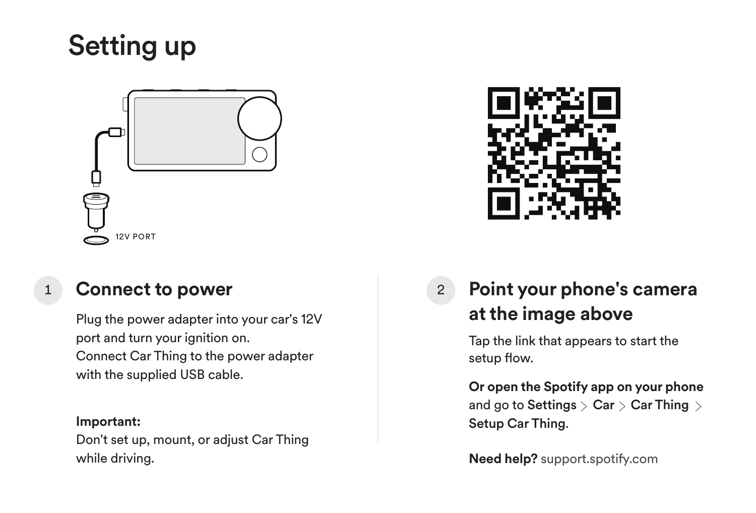



### **Connect to power**

Plug the power adapter into your car's 12V port and turn your ignition on. Connect Car Thing to the power adapter with the supplied USB cable.

#### **Important:**

Don't set up, mount, or adjust Car Thing while driving.



1 **Connect to power** 2 **Point your phone's camera at the image above**  $\mathfrak{p}$ 

> Tap the link that appears to start the setup flow.

**Or open the Spotify app on your phone** and go to Settings  $>$  Car  $>$  Car Thing  $>$ Setup Car Thing.

**Need help?** support.spotify.com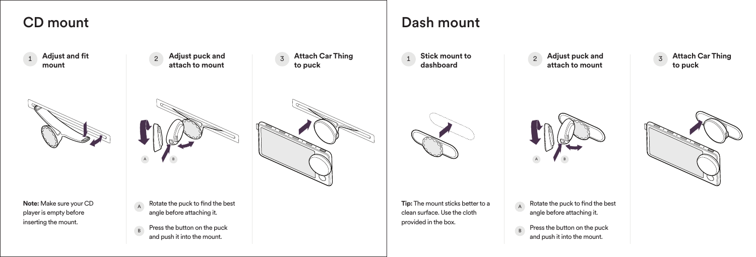## CD mount





**Note:** Make sure your CD player is empty before inserting the mount.







- Rotate the puck to find the best angle before attaching it. A
- Press the button on the puck and push it into the mount. B

# Dash mount

<sup>2</sup> **Stick mount to dashboard**



**to puck** 3







**Tip:** The mount sticks better to a clean surface. Use the cloth provided in the box.

Rotate the puck to find the best angle before attaching it. A

Press the button on the puck and push it into the mount. B